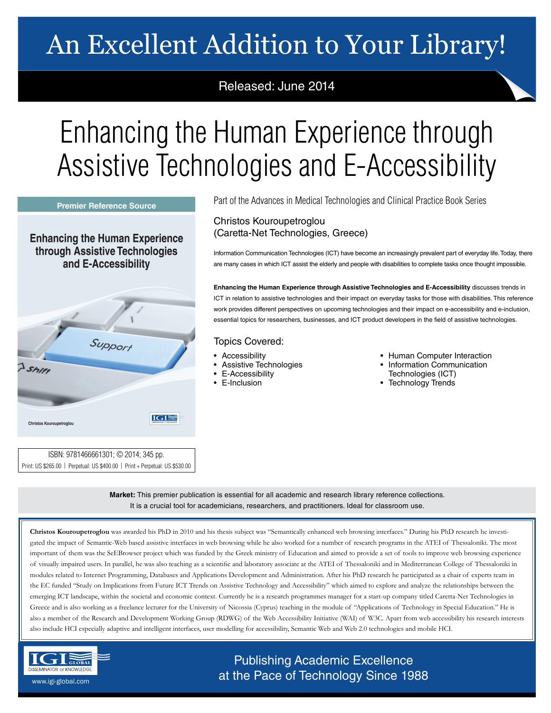# An Excellent Addition to Your Library!

## Released: June 2014

# Enhancing the Human Experience through Assistive Technologies and E-Accessibility

**Premier Reference Source** 

**Enhancing the Human Experience** through Assistive Technologies and E-Accessibility



ISBN: 9781466661301; © 2014; 345 pp.

Part of the Advances in Medical Technologies and Clinical Practice Book Series

### Christos Kouroupetroglou (Caretta-Net Technologies, Greece)

Information Communication Technologies (ICT) have become an increasingly prevalent part of everyday life. Today, there are many cases in which ICT assist the elderly and people with disabilities to complete tasks once thought impossible.

**Enhancing the Human Experience through Assistive Technologies and E-Accessibility** discusses trends in ICT in relation to assistive technologies and their impact on everyday tasks for those with disabilities. This reference work provides different perspectives on upcoming technologies and their impact on e-accessibility and e-inclusion, essential topics for researchers, businesses, and ICT product developers in the field of assistive technologies.

### Topics Covered:

- Accessibility
- Assistive Technologies
- E-Accessibility
- E-Inclusion
- Human Computer Interaction
- Information Communication Technologies (ICT)
- Technology Trends

Print: US \$265.00 | Perpetual: US \$400.00 | Print + Perpetual: US \$530.00

**Market:** This premier publication is essential for all academic and research library reference collections. It is a crucial tool for academicians, researchers, and practitioners. Ideal for classroom use.

**Christos Kouroupetroglou** was awarded his PhD in 2010 and his thesis subject was "Semantically enhanced web browsing interfaces." During his PhD research he investigated the impact of Semantic-Web based assistive interfaces in web browsing while he also worked for a number of research programs in the ATEI of Thessaloniki. The most important of them was the SeEBrowser project which was funded by the Greek ministry of Education and aimed to provide a set of tools to improve web browsing experience of visually impaired users. In parallel, he was also teaching as a scientific and laboratory associate at the ATEI of Thessaloniki and in Mediterranean College of Thessaloniki in modules related to Internet Programming, Databases and Applications Development and Administration. After his PhD research he participated as a chair of experts team in the EC funded "Study on Implications from Future ICT Trends on Assistive Technology and Accessibility" which aimed to explore and analyze the relationships between the emerging ICT landscape, within the societal and economic context. Currently he is a research programmes manager for a start-up company titled Caretta-Net Technologies in Greece and is also working as a freelance lecturer for the University of Nicossia (Cyprus) teaching in the module of "Applications of Technology in Special Education." He is also a member of the Research and Development Working Group (RDWG) of the Web Accessibility Initiative (WAI) of W3C. Apart from web accessibility his research interests also include HCI especially adaptive and intelligent interfaces, user modelling for accessibility, Semantic Web and Web 2.0 technologies and mobile HCI.



Publishing Academic Excellence at the Pace of Technology Since 1988 www.igi-global.com